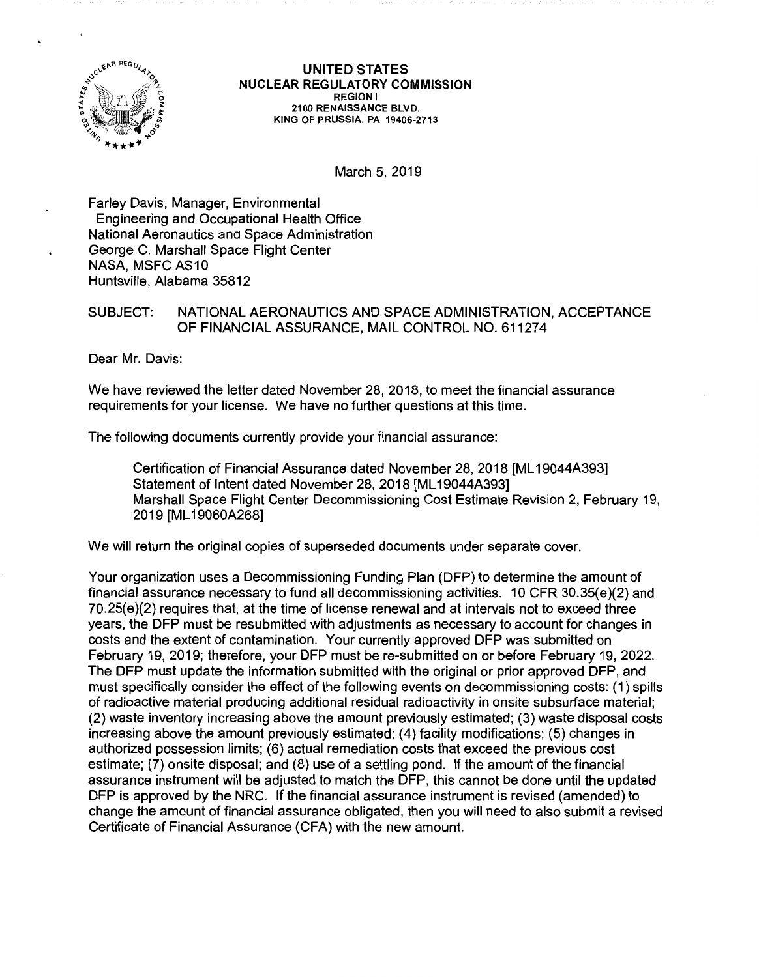

UNITED STATES NUCLEAR REGULATORY **COMMISSION REGION** I **2100 RENAISSANCE BLVD. KING** OF **PRUSSIA, PA 19406-2713** 

March 5, 2019

Farley Davis, Manager, Environmental Engineering and Occupational Health Office National Aeronautics and Space Administration George C. Marshall Space Flight Center NASA, MSFC AS10 Huntsville, Alabama 35812

## SUBJECT: NATIONAL AERONAUTICS AND SPACE ADMINISTRATION, ACCEPTANCE OF FINANCIAL ASSURANCE, MAIL CONTROL NO. 611274

Dear Mr. Davis:

We have reviewed the letter dated November 28, 2018, to meet the financial assurance requirements for your license. We have no further questions at this time.

The following documents currently provide your financial assurance:

Certification of Financial Assurance dated November 28, 2018 [ML19044A393] Statement of Intent dated November 28, 2018 [ML 19044A393] Marshall Space Flight Center Decommissioning Cost Estimate Revision 2, February 19, 2019 [ML 19060A268]

We will return the original copies of superseded documents under separate cover.

Your organization uses a Decommissioning Funding Plan (DFP) to determine the amount of financial assurance necessary to fund all decommissioning activities. 10 CFR 30.35(e)(2) and 70.25(e)(2) requires that, at the time of license renewal and at intervals not to exceed three years, the DFP must be resubmitted with adjustments as necessary to account for changes in costs and the extent of contamination. Your currently approved DFP was submitted on February 19, 2019; therefore, your DFP must be re-submitted on or before February 19, 2022. The DFP must update the information submitted with the original or prior approved DFP, and must specifically consider the effect of the following events on decommissioning costs: (1) spills of radioactive material producing additional residual radioactivity in onsite subsurface material; (2) waste inventory increasing above the amount previously estimated; (3) waste disposal costs increasing above the amount previously estimated; (4) facility modifications; (5) changes in authorized possession limits; (6) actual remediation costs that exceed the previous cost estimate; (7) onsite disposal; and (8) use of a settling pond. If the amount of the financial assurance instrument will be adjusted to match the DFP, this cannot be done until the updated DFP is approved by the NRC. If the financial assurance instrument is revised (amended) to change the amount of financial assurance obligated, then you will need to also submit a revised Certificate of Financial Assurance (CFA) with the new amount.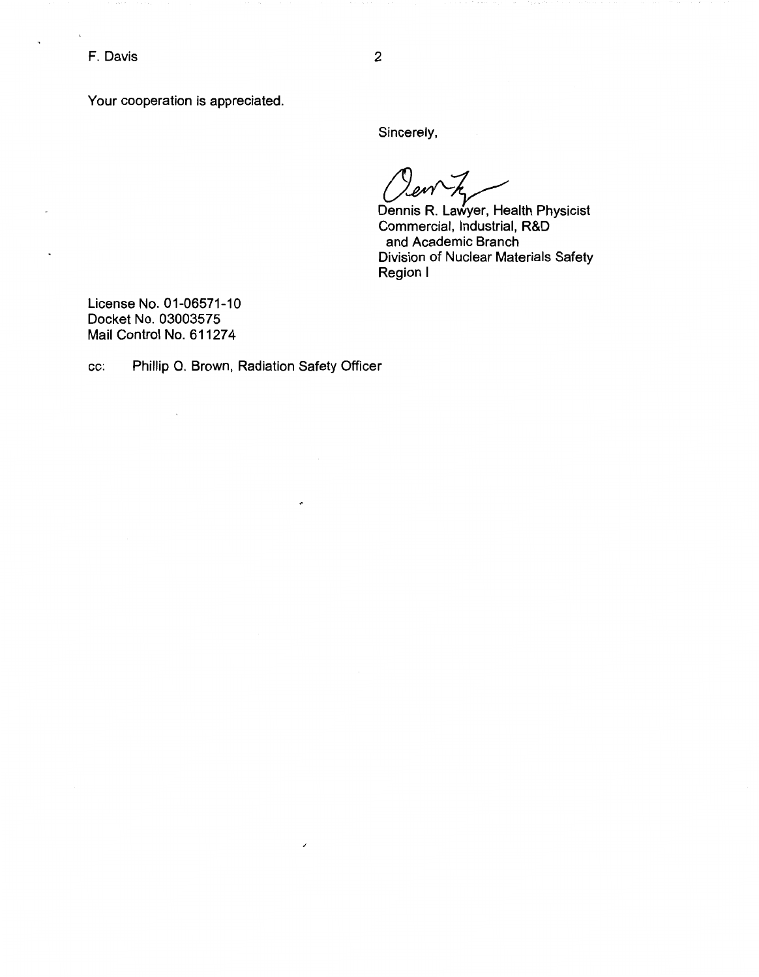F. Davis

 $\ddot{\phantom{1}}$ 

Your cooperation is appreciated.

Sincerely,

Dennis R. Lawyer, Health Physicist Commercial, Industrial, R&D and Academic Branch Division of Nuclear Materials Safety Region I

License No. 01-06571-10 Docket No. 03003575 Mail Control No. 611274

 $\sim$ 

cc: Phillip 0. Brown, Radiation Safety Officer

 $\cdot$ 

 $\overline{\phantom{a}}$